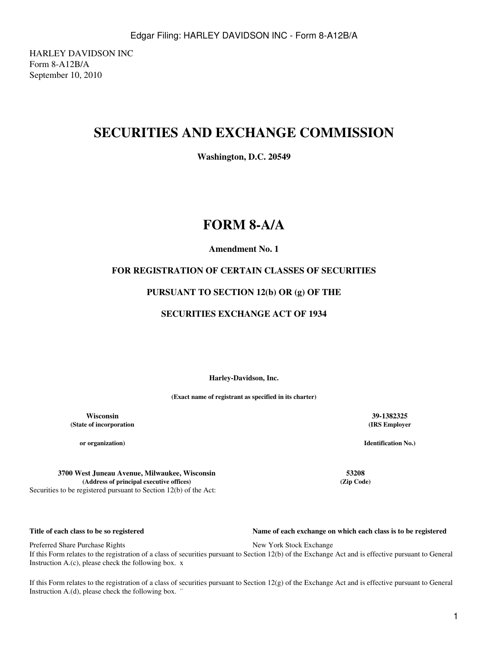HARLEY DAVIDSON INC Form 8-A12B/A September 10, 2010

## **SECURITIES AND EXCHANGE COMMISSION**

**Washington, D.C. 20549**

## **FORM 8-A/A**

## **Amendment No. 1**

## **FOR REGISTRATION OF CERTAIN CLASSES OF SECURITIES**

### **PURSUANT TO SECTION 12(b) OR (g) OF THE**

### **SECURITIES EXCHANGE ACT OF 1934**

**Harley-Davidson, Inc.**

**(Exact name of registrant as specified in its charter)**

**Wisconsin 39-1382325 (State of incorporation**

**or organization)**

**3700 West Juneau Avenue, Milwaukee, Wisconsin 53208 (Address of principal executive offices) (Zip Code)** Securities to be registered pursuant to Section 12(b) of the Act:

#### **Title of each class to be so registered Name of each exchange on which each class is to be registered**

Preferred Share Purchase Rights New York Stock Exchange If this Form relates to the registration of a class of securities pursuant to Section 12(b) of the Exchange Act and is effective pursuant to General Instruction A.(c), please check the following box. x

If this Form relates to the registration of a class of securities pursuant to Section 12(g) of the Exchange Act and is effective pursuant to General Instruction A.(d), please check the following box.

# **(IRS Employer**

**Identification No.)**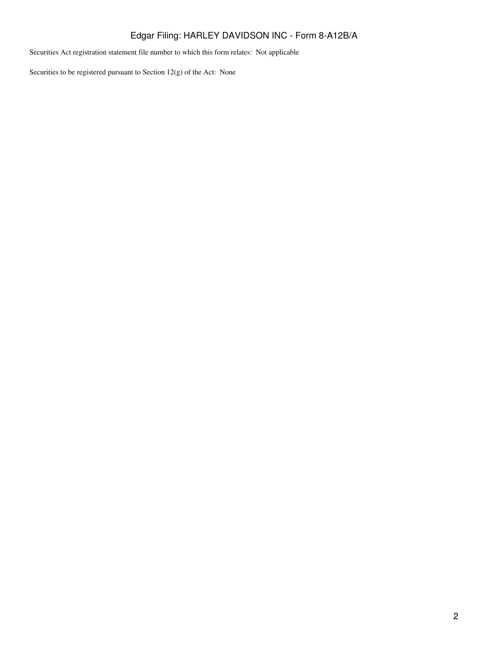## Edgar Filing: HARLEY DAVIDSON INC - Form 8-A12B/A

Securities Act registration statement file number to which this form relates: Not applicable

Securities to be registered pursuant to Section 12(g) of the Act: None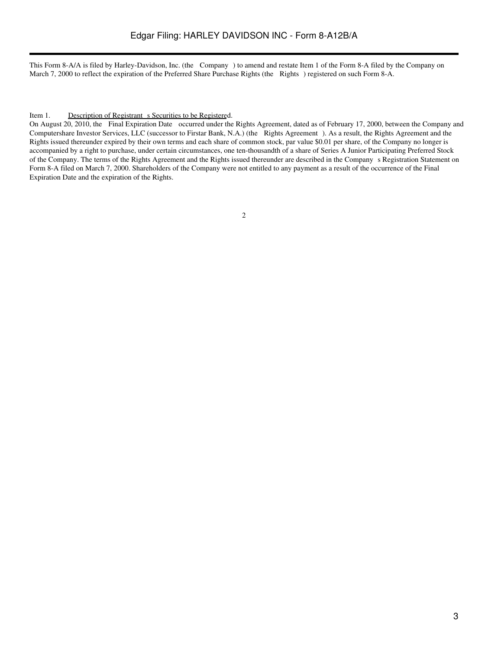This Form 8-A/A is filed by Harley-Davidson, Inc. (the Company) to amend and restate Item 1 of the Form 8-A filed by the Company on March 7, 2000 to reflect the expiration of the Preferred Share Purchase Rights (the Rights) registered on such Form 8-A.

#### Item 1. Description of Registrant s Securities to be Registered.

On August 20, 2010, the Final Expiration Date occurred under the Rights Agreement, dated as of February 17, 2000, between the Company and Computershare Investor Services, LLC (successor to Firstar Bank, N.A.) (the Rights Agreement). As a result, the Rights Agreement and the Rights issued thereunder expired by their own terms and each share of common stock, par value \$0.01 per share, of the Company no longer is accompanied by a right to purchase, under certain circumstances, one ten-thousandth of a share of Series A Junior Participating Preferred Stock of the Company. The terms of the Rights Agreement and the Rights issued thereunder are described in the Companys Registration Statement on Form 8-A filed on March 7, 2000. Shareholders of the Company were not entitled to any payment as a result of the occurrence of the Final Expiration Date and the expiration of the Rights.

2